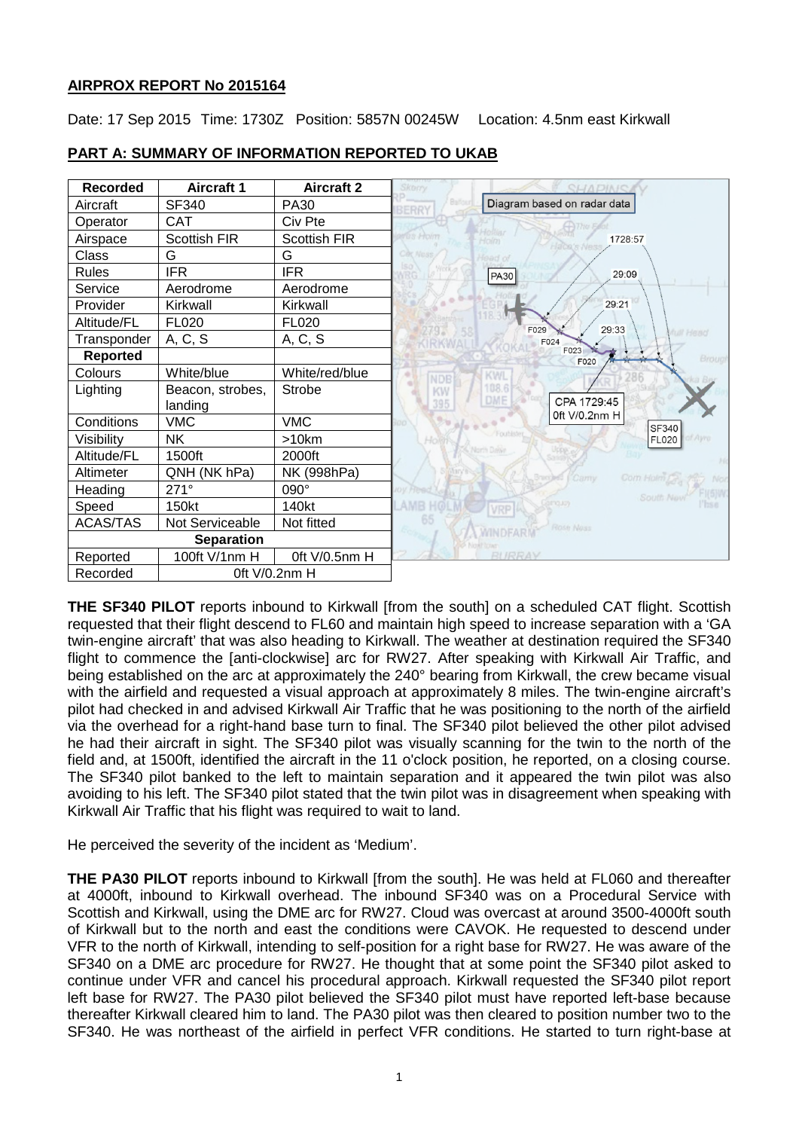# **AIRPROX REPORT No 2015164**

Date: 17 Sep 2015 Time: 1730Z Position: 5857N 00245W Location: 4.5nm east Kirkwall



# **PART A: SUMMARY OF INFORMATION REPORTED TO UKAB**

**THE SF340 PILOT** reports inbound to Kirkwall [from the south] on a scheduled CAT flight. Scottish requested that their flight descend to FL60 and maintain high speed to increase separation with a 'GA twin-engine aircraft' that was also heading to Kirkwall. The weather at destination required the SF340 flight to commence the [anti-clockwise] arc for RW27. After speaking with Kirkwall Air Traffic, and being established on the arc at approximately the 240° bearing from Kirkwall, the crew became visual with the airfield and requested a visual approach at approximately 8 miles. The twin-engine aircraft's pilot had checked in and advised Kirkwall Air Traffic that he was positioning to the north of the airfield via the overhead for a right-hand base turn to final. The SF340 pilot believed the other pilot advised he had their aircraft in sight. The SF340 pilot was visually scanning for the twin to the north of the field and, at 1500ft, identified the aircraft in the 11 o'clock position, he reported, on a closing course. The SF340 pilot banked to the left to maintain separation and it appeared the twin pilot was also avoiding to his left. The SF340 pilot stated that the twin pilot was in disagreement when speaking with Kirkwall Air Traffic that his flight was required to wait to land.

He perceived the severity of the incident as 'Medium'.

**THE PA30 PILOT** reports inbound to Kirkwall [from the south]. He was held at FL060 and thereafter at 4000ft, inbound to Kirkwall overhead. The inbound SF340 was on a Procedural Service with Scottish and Kirkwall, using the DME arc for RW27. Cloud was overcast at around 3500-4000ft south of Kirkwall but to the north and east the conditions were CAVOK. He requested to descend under VFR to the north of Kirkwall, intending to self-position for a right base for RW27. He was aware of the SF340 on a DME arc procedure for RW27. He thought that at some point the SF340 pilot asked to continue under VFR and cancel his procedural approach. Kirkwall requested the SF340 pilot report left base for RW27. The PA30 pilot believed the SF340 pilot must have reported left-base because thereafter Kirkwall cleared him to land. The PA30 pilot was then cleared to position number two to the SF340. He was northeast of the airfield in perfect VFR conditions. He started to turn right-base at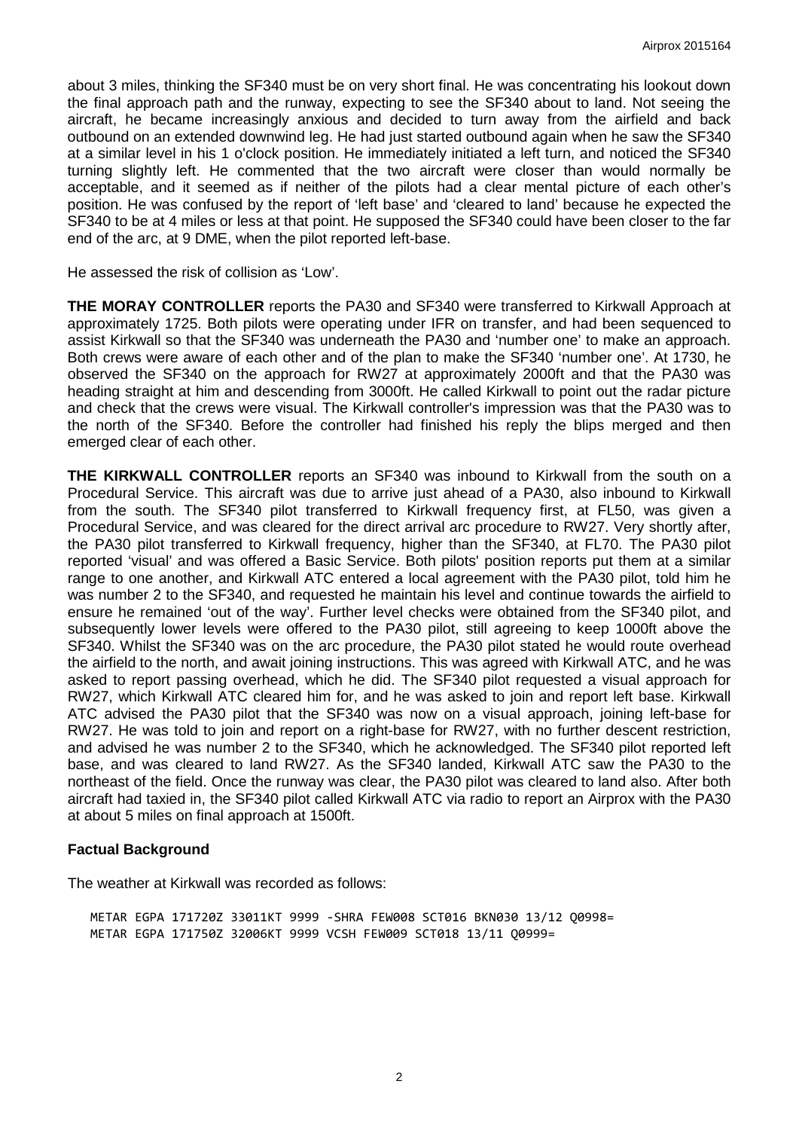about 3 miles, thinking the SF340 must be on very short final. He was concentrating his lookout down the final approach path and the runway, expecting to see the SF340 about to land. Not seeing the aircraft, he became increasingly anxious and decided to turn away from the airfield and back outbound on an extended downwind leg. He had just started outbound again when he saw the SF340 at a similar level in his 1 o'clock position. He immediately initiated a left turn, and noticed the SF340 turning slightly left. He commented that the two aircraft were closer than would normally be acceptable, and it seemed as if neither of the pilots had a clear mental picture of each other's position. He was confused by the report of 'left base' and 'cleared to land' because he expected the SF340 to be at 4 miles or less at that point. He supposed the SF340 could have been closer to the far end of the arc, at 9 DME, when the pilot reported left-base.

He assessed the risk of collision as 'Low'.

**THE MORAY CONTROLLER** reports the PA30 and SF340 were transferred to Kirkwall Approach at approximately 1725. Both pilots were operating under IFR on transfer, and had been sequenced to assist Kirkwall so that the SF340 was underneath the PA30 and 'number one' to make an approach. Both crews were aware of each other and of the plan to make the SF340 'number one'. At 1730, he observed the SF340 on the approach for RW27 at approximately 2000ft and that the PA30 was heading straight at him and descending from 3000ft. He called Kirkwall to point out the radar picture and check that the crews were visual. The Kirkwall controller's impression was that the PA30 was to the north of the SF340. Before the controller had finished his reply the blips merged and then emerged clear of each other.

**THE KIRKWALL CONTROLLER** reports an SF340 was inbound to Kirkwall from the south on a Procedural Service. This aircraft was due to arrive just ahead of a PA30, also inbound to Kirkwall from the south. The SF340 pilot transferred to Kirkwall frequency first, at FL50, was given a Procedural Service, and was cleared for the direct arrival arc procedure to RW27. Very shortly after, the PA30 pilot transferred to Kirkwall frequency, higher than the SF340, at FL70. The PA30 pilot reported 'visual' and was offered a Basic Service. Both pilots' position reports put them at a similar range to one another, and Kirkwall ATC entered a local agreement with the PA30 pilot, told him he was number 2 to the SF340, and requested he maintain his level and continue towards the airfield to ensure he remained 'out of the way'. Further level checks were obtained from the SF340 pilot, and subsequently lower levels were offered to the PA30 pilot, still agreeing to keep 1000ft above the SF340. Whilst the SF340 was on the arc procedure, the PA30 pilot stated he would route overhead the airfield to the north, and await joining instructions. This was agreed with Kirkwall ATC, and he was asked to report passing overhead, which he did. The SF340 pilot requested a visual approach for RW27, which Kirkwall ATC cleared him for, and he was asked to join and report left base. Kirkwall ATC advised the PA30 pilot that the SF340 was now on a visual approach, joining left-base for RW27. He was told to join and report on a right-base for RW27, with no further descent restriction, and advised he was number 2 to the SF340, which he acknowledged. The SF340 pilot reported left base, and was cleared to land RW27. As the SF340 landed, Kirkwall ATC saw the PA30 to the northeast of the field. Once the runway was clear, the PA30 pilot was cleared to land also. After both aircraft had taxied in, the SF340 pilot called Kirkwall ATC via radio to report an Airprox with the PA30 at about 5 miles on final approach at 1500ft.

#### **Factual Background**

The weather at Kirkwall was recorded as follows:

METAR EGPA 171720Z 33011KT 9999 -SHRA FEW008 SCT016 BKN030 13/12 Q0998= METAR EGPA 171750Z 32006KT 9999 VCSH FEW009 SCT018 13/11 Q0999=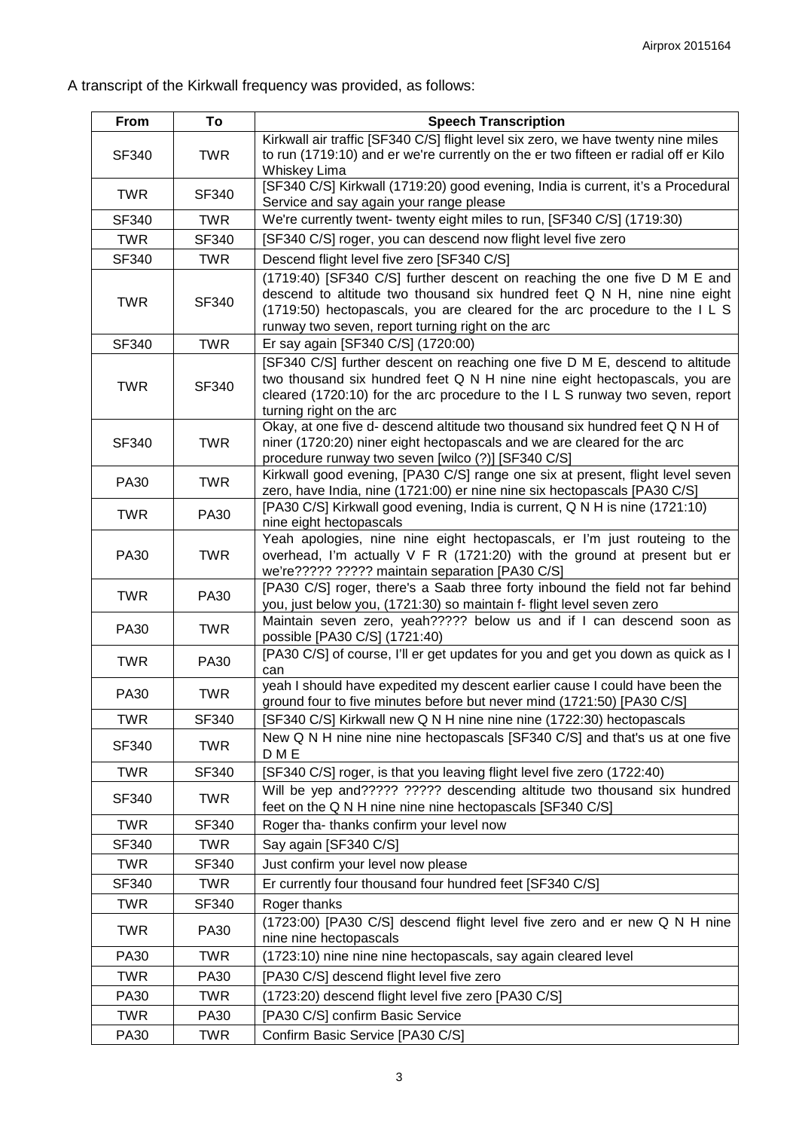A transcript of the Kirkwall frequency was provided, as follows:

| From         | To           | <b>Speech Transcription</b>                                                                                                                                                                                                                                                           |
|--------------|--------------|---------------------------------------------------------------------------------------------------------------------------------------------------------------------------------------------------------------------------------------------------------------------------------------|
| <b>SF340</b> | <b>TWR</b>   | Kirkwall air traffic [SF340 C/S] flight level six zero, we have twenty nine miles<br>to run (1719:10) and er we're currently on the er two fifteen er radial off er Kilo<br>Whiskey Lima                                                                                              |
| <b>TWR</b>   | <b>SF340</b> | [SF340 C/S] Kirkwall (1719:20) good evening, India is current, it's a Procedural<br>Service and say again your range please                                                                                                                                                           |
| <b>SF340</b> | <b>TWR</b>   | We're currently twent- twenty eight miles to run, [SF340 C/S] (1719:30)                                                                                                                                                                                                               |
| <b>TWR</b>   | <b>SF340</b> | [SF340 C/S] roger, you can descend now flight level five zero                                                                                                                                                                                                                         |
| SF340        | <b>TWR</b>   | Descend flight level five zero [SF340 C/S]                                                                                                                                                                                                                                            |
| <b>TWR</b>   | SF340        | (1719:40) [SF340 C/S] further descent on reaching the one five D M E and<br>descend to altitude two thousand six hundred feet Q N H, nine nine eight<br>(1719:50) hectopascals, you are cleared for the arc procedure to the ILS<br>runway two seven, report turning right on the arc |
| <b>SF340</b> | <b>TWR</b>   | Er say again [SF340 C/S] (1720:00)                                                                                                                                                                                                                                                    |
| <b>TWR</b>   | <b>SF340</b> | [SF340 C/S] further descent on reaching one five D M E, descend to altitude<br>two thousand six hundred feet Q N H nine nine eight hectopascals, you are<br>cleared (1720:10) for the arc procedure to the ILS runway two seven, report<br>turning right on the arc                   |
| SF340        | <b>TWR</b>   | Okay, at one five d- descend altitude two thousand six hundred feet Q N H of<br>niner (1720:20) niner eight hectopascals and we are cleared for the arc<br>procedure runway two seven [wilco (?)] [SF340 C/S]                                                                         |
| <b>PA30</b>  | <b>TWR</b>   | Kirkwall good evening, [PA30 C/S] range one six at present, flight level seven<br>zero, have India, nine (1721:00) er nine nine six hectopascals [PA30 C/S]                                                                                                                           |
| <b>TWR</b>   | <b>PA30</b>  | [PA30 C/S] Kirkwall good evening, India is current, Q N H is nine (1721:10)<br>nine eight hectopascals                                                                                                                                                                                |
| PA30         | <b>TWR</b>   | Yeah apologies, nine nine eight hectopascals, er I'm just routeing to the<br>overhead, I'm actually V F R (1721:20) with the ground at present but er<br>we're????? ????? maintain separation [PA30 C/S]                                                                              |
| <b>TWR</b>   | <b>PA30</b>  | [PA30 C/S] roger, there's a Saab three forty inbound the field not far behind<br>you, just below you, (1721:30) so maintain f- flight level seven zero                                                                                                                                |
| <b>PA30</b>  | <b>TWR</b>   | Maintain seven zero, yeah????? below us and if I can descend soon as<br>possible [PA30 C/S] (1721:40)                                                                                                                                                                                 |
| <b>TWR</b>   | <b>PA30</b>  | [PA30 C/S] of course, I'll er get updates for you and get you down as quick as I<br>can                                                                                                                                                                                               |
| <b>PA30</b>  | <b>TWR</b>   | yeah I should have expedited my descent earlier cause I could have been the<br>ground four to five minutes before but never mind (1721:50) [PA30 C/S]                                                                                                                                 |
| <b>TWR</b>   | SF340        | [SF340 C/S] Kirkwall new Q N H nine nine nine (1722:30) hectopascals                                                                                                                                                                                                                  |
| SF340        | <b>TWR</b>   | New Q N H nine nine nine hectopascals [SF340 C/S] and that's us at one five<br>D M E                                                                                                                                                                                                  |
| <b>TWR</b>   | SF340        | [SF340 C/S] roger, is that you leaving flight level five zero (1722:40)                                                                                                                                                                                                               |
| <b>SF340</b> | <b>TWR</b>   | Will be yep and????? ????? descending altitude two thousand six hundred<br>feet on the Q N H nine nine nine hectopascals [SF340 C/S]                                                                                                                                                  |
| <b>TWR</b>   | SF340        | Roger tha- thanks confirm your level now                                                                                                                                                                                                                                              |
| <b>SF340</b> | <b>TWR</b>   | Say again [SF340 C/S]                                                                                                                                                                                                                                                                 |
| <b>TWR</b>   | <b>SF340</b> | Just confirm your level now please                                                                                                                                                                                                                                                    |
| SF340        | <b>TWR</b>   | Er currently four thousand four hundred feet [SF340 C/S]                                                                                                                                                                                                                              |
| <b>TWR</b>   | SF340        | Roger thanks                                                                                                                                                                                                                                                                          |
| <b>TWR</b>   | <b>PA30</b>  | (1723:00) [PA30 C/S] descend flight level five zero and er new Q N H nine<br>nine nine hectopascals                                                                                                                                                                                   |
| PA30         | <b>TWR</b>   | (1723:10) nine nine nine hectopascals, say again cleared level                                                                                                                                                                                                                        |
| <b>TWR</b>   | <b>PA30</b>  | [PA30 C/S] descend flight level five zero                                                                                                                                                                                                                                             |
| PA30         | <b>TWR</b>   | (1723:20) descend flight level five zero [PA30 C/S]                                                                                                                                                                                                                                   |
| <b>TWR</b>   | <b>PA30</b>  | [PA30 C/S] confirm Basic Service                                                                                                                                                                                                                                                      |
| PA30         | <b>TWR</b>   | Confirm Basic Service [PA30 C/S]                                                                                                                                                                                                                                                      |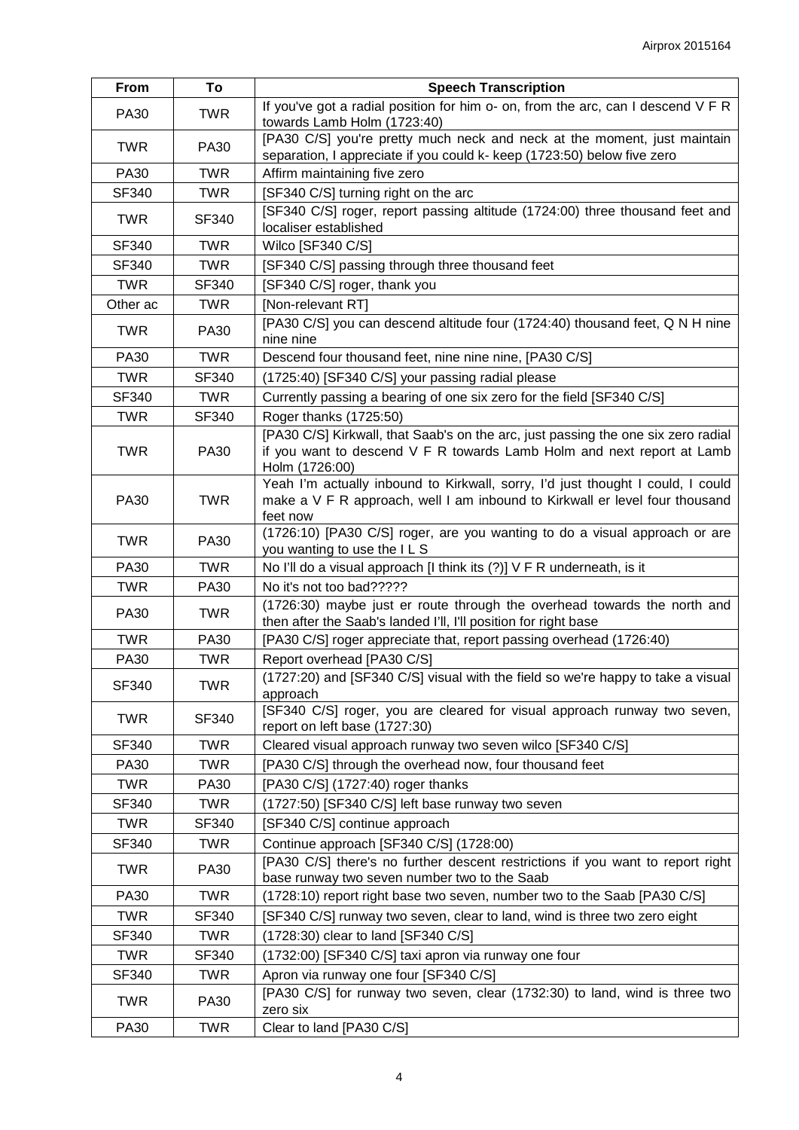| From        | To           | <b>Speech Transcription</b>                                                                                                                                                   |
|-------------|--------------|-------------------------------------------------------------------------------------------------------------------------------------------------------------------------------|
| <b>PA30</b> | <b>TWR</b>   | If you've got a radial position for him o- on, from the arc, can I descend V F R<br>towards Lamb Holm (1723:40)                                                               |
| <b>TWR</b>  | <b>PA30</b>  | [PA30 C/S] you're pretty much neck and neck at the moment, just maintain<br>separation, I appreciate if you could k- keep (1723:50) below five zero                           |
| <b>PA30</b> | <b>TWR</b>   | Affirm maintaining five zero                                                                                                                                                  |
| SF340       | <b>TWR</b>   | [SF340 C/S] turning right on the arc                                                                                                                                          |
| <b>TWR</b>  | SF340        | [SF340 C/S] roger, report passing altitude (1724:00) three thousand feet and<br>localiser established                                                                         |
| SF340       | <b>TWR</b>   | Wilco [SF340 C/S]                                                                                                                                                             |
| SF340       | <b>TWR</b>   | [SF340 C/S] passing through three thousand feet                                                                                                                               |
| <b>TWR</b>  | <b>SF340</b> | [SF340 C/S] roger, thank you                                                                                                                                                  |
| Other ac    | <b>TWR</b>   | [Non-relevant RT]                                                                                                                                                             |
| <b>TWR</b>  | <b>PA30</b>  | [PA30 C/S] you can descend altitude four (1724:40) thousand feet, Q N H nine<br>nine nine                                                                                     |
| <b>PA30</b> | <b>TWR</b>   | Descend four thousand feet, nine nine nine, [PA30 C/S]                                                                                                                        |
| <b>TWR</b>  | <b>SF340</b> | (1725:40) [SF340 C/S] your passing radial please                                                                                                                              |
| SF340       | <b>TWR</b>   | Currently passing a bearing of one six zero for the field [SF340 C/S]                                                                                                         |
| <b>TWR</b>  | SF340        | Roger thanks (1725:50)                                                                                                                                                        |
| <b>TWR</b>  | <b>PA30</b>  | [PA30 C/S] Kirkwall, that Saab's on the arc, just passing the one six zero radial<br>if you want to descend V F R towards Lamb Holm and next report at Lamb<br>Holm (1726:00) |
| <b>PA30</b> | <b>TWR</b>   | Yeah I'm actually inbound to Kirkwall, sorry, I'd just thought I could, I could<br>make a V F R approach, well I am inbound to Kirkwall er level four thousand<br>feet now    |
| <b>TWR</b>  | <b>PA30</b>  | (1726:10) [PA30 C/S] roger, are you wanting to do a visual approach or are<br>you wanting to use the ILS                                                                      |
| <b>PA30</b> | <b>TWR</b>   | No I'll do a visual approach [I think its (?)] V F R underneath, is it                                                                                                        |
| <b>TWR</b>  | <b>PA30</b>  | No it's not too bad?????                                                                                                                                                      |
| <b>PA30</b> | <b>TWR</b>   | (1726:30) maybe just er route through the overhead towards the north and<br>then after the Saab's landed I'll, I'll position for right base                                   |
| <b>TWR</b>  | <b>PA30</b>  | [PA30 C/S] roger appreciate that, report passing overhead (1726:40)                                                                                                           |
| <b>PA30</b> | <b>TWR</b>   | Report overhead [PA30 C/S]                                                                                                                                                    |
| SF340       | <b>TWR</b>   | (1727:20) and [SF340 C/S] visual with the field so we're happy to take a visual<br>approach                                                                                   |
| <b>TWR</b>  | SF340        | [SF340 C/S] roger, you are cleared for visual approach runway two seven,<br>report on left base (1727:30)                                                                     |
| SF340       | <b>TWR</b>   | Cleared visual approach runway two seven wilco [SF340 C/S]                                                                                                                    |
| <b>PA30</b> | <b>TWR</b>   | [PA30 C/S] through the overhead now, four thousand feet                                                                                                                       |
| <b>TWR</b>  | PA30         | [PA30 C/S] (1727:40) roger thanks                                                                                                                                             |
| SF340       | <b>TWR</b>   | (1727:50) [SF340 C/S] left base runway two seven                                                                                                                              |
| <b>TWR</b>  | SF340        | [SF340 C/S] continue approach                                                                                                                                                 |
| SF340       | <b>TWR</b>   | Continue approach [SF340 C/S] (1728:00)                                                                                                                                       |
| <b>TWR</b>  | <b>PA30</b>  | [PA30 C/S] there's no further descent restrictions if you want to report right<br>base runway two seven number two to the Saab                                                |
| <b>PA30</b> | <b>TWR</b>   | (1728:10) report right base two seven, number two to the Saab [PA30 C/S]                                                                                                      |
| <b>TWR</b>  | SF340        | [SF340 C/S] runway two seven, clear to land, wind is three two zero eight                                                                                                     |
| SF340       | <b>TWR</b>   | (1728:30) clear to land [SF340 C/S]                                                                                                                                           |
| <b>TWR</b>  | SF340        | (1732:00) [SF340 C/S] taxi apron via runway one four                                                                                                                          |
| SF340       | <b>TWR</b>   | Apron via runway one four [SF340 C/S]                                                                                                                                         |
| <b>TWR</b>  | <b>PA30</b>  | [PA30 C/S] for runway two seven, clear (1732:30) to land, wind is three two<br>zero six                                                                                       |
| PA30        | <b>TWR</b>   | Clear to land [PA30 C/S]                                                                                                                                                      |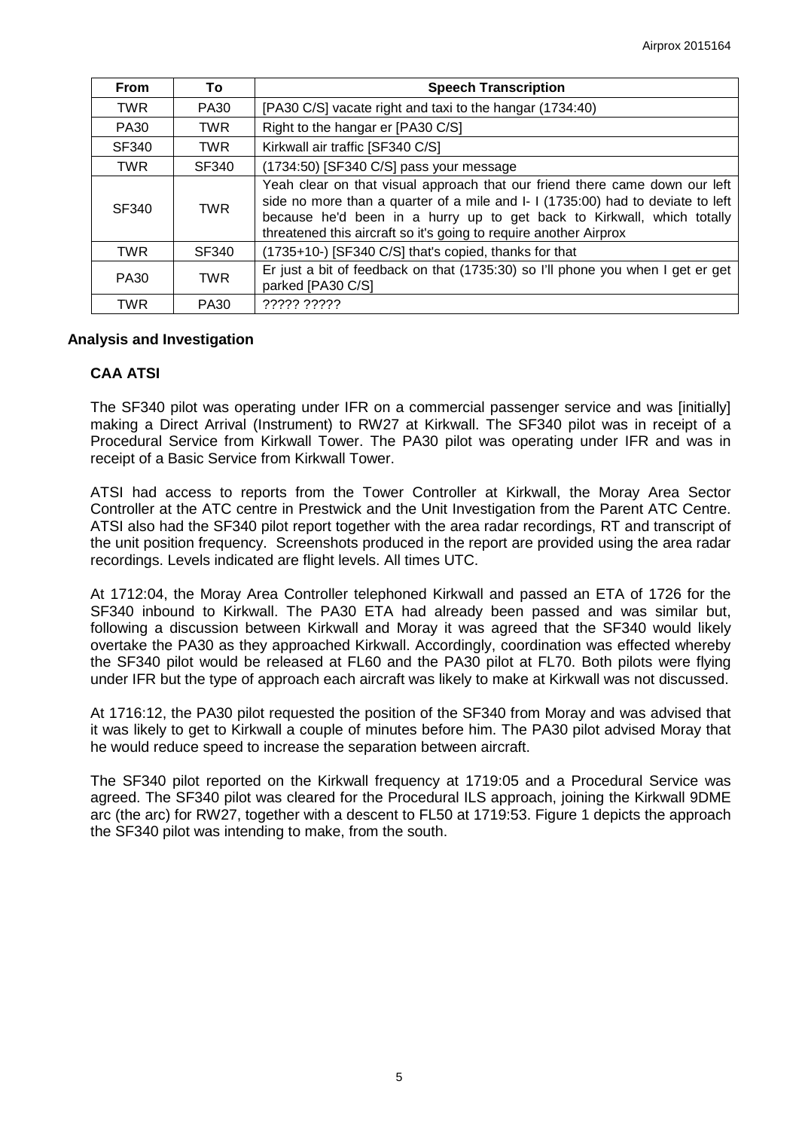| <b>From</b> | To          | <b>Speech Transcription</b>                                                                                                                                                                                                                                                                                   |
|-------------|-------------|---------------------------------------------------------------------------------------------------------------------------------------------------------------------------------------------------------------------------------------------------------------------------------------------------------------|
| <b>TWR</b>  | PA30        | [PA30 C/S] vacate right and taxi to the hangar (1734:40)                                                                                                                                                                                                                                                      |
| <b>PA30</b> | <b>TWR</b>  | Right to the hangar er [PA30 C/S]                                                                                                                                                                                                                                                                             |
| SF340       | <b>TWR</b>  | Kirkwall air traffic [SF340 C/S]                                                                                                                                                                                                                                                                              |
| <b>TWR</b>  | SF340       | (1734:50) [SF340 C/S] pass your message                                                                                                                                                                                                                                                                       |
| SF340       | <b>TWR</b>  | Yeah clear on that visual approach that our friend there came down our left<br>side no more than a quarter of a mile and I- I (1735:00) had to deviate to left<br>because he'd been in a hurry up to get back to Kirkwall, which totally<br>threatened this aircraft so it's going to require another Airprox |
| <b>TWR</b>  | SF340       | (1735+10-) [SF340 C/S] that's copied, thanks for that                                                                                                                                                                                                                                                         |
| <b>PA30</b> | <b>TWR</b>  | Er just a bit of feedback on that (1735:30) so I'll phone you when I get er get<br>parked [PA30 C/S]                                                                                                                                                                                                          |
| TWR         | <b>PA30</b> | ????? ?????                                                                                                                                                                                                                                                                                                   |

### **Analysis and Investigation**

### **CAA ATSI**

The SF340 pilot was operating under IFR on a commercial passenger service and was [initially] making a Direct Arrival (Instrument) to RW27 at Kirkwall. The SF340 pilot was in receipt of a Procedural Service from Kirkwall Tower. The PA30 pilot was operating under IFR and was in receipt of a Basic Service from Kirkwall Tower.

ATSI had access to reports from the Tower Controller at Kirkwall, the Moray Area Sector Controller at the ATC centre in Prestwick and the Unit Investigation from the Parent ATC Centre. ATSI also had the SF340 pilot report together with the area radar recordings, RT and transcript of the unit position frequency. Screenshots produced in the report are provided using the area radar recordings. Levels indicated are flight levels. All times UTC.

At 1712:04, the Moray Area Controller telephoned Kirkwall and passed an ETA of 1726 for the SF340 inbound to Kirkwall. The PA30 ETA had already been passed and was similar but, following a discussion between Kirkwall and Moray it was agreed that the SF340 would likely overtake the PA30 as they approached Kirkwall. Accordingly, coordination was effected whereby the SF340 pilot would be released at FL60 and the PA30 pilot at FL70. Both pilots were flying under IFR but the type of approach each aircraft was likely to make at Kirkwall was not discussed.

At 1716:12, the PA30 pilot requested the position of the SF340 from Moray and was advised that it was likely to get to Kirkwall a couple of minutes before him. The PA30 pilot advised Moray that he would reduce speed to increase the separation between aircraft.

The SF340 pilot reported on the Kirkwall frequency at 1719:05 and a Procedural Service was agreed. The SF340 pilot was cleared for the Procedural ILS approach, joining the Kirkwall 9DME arc (the arc) for RW27, together with a descent to FL50 at 1719:53. Figure 1 depicts the approach the SF340 pilot was intending to make, from the south.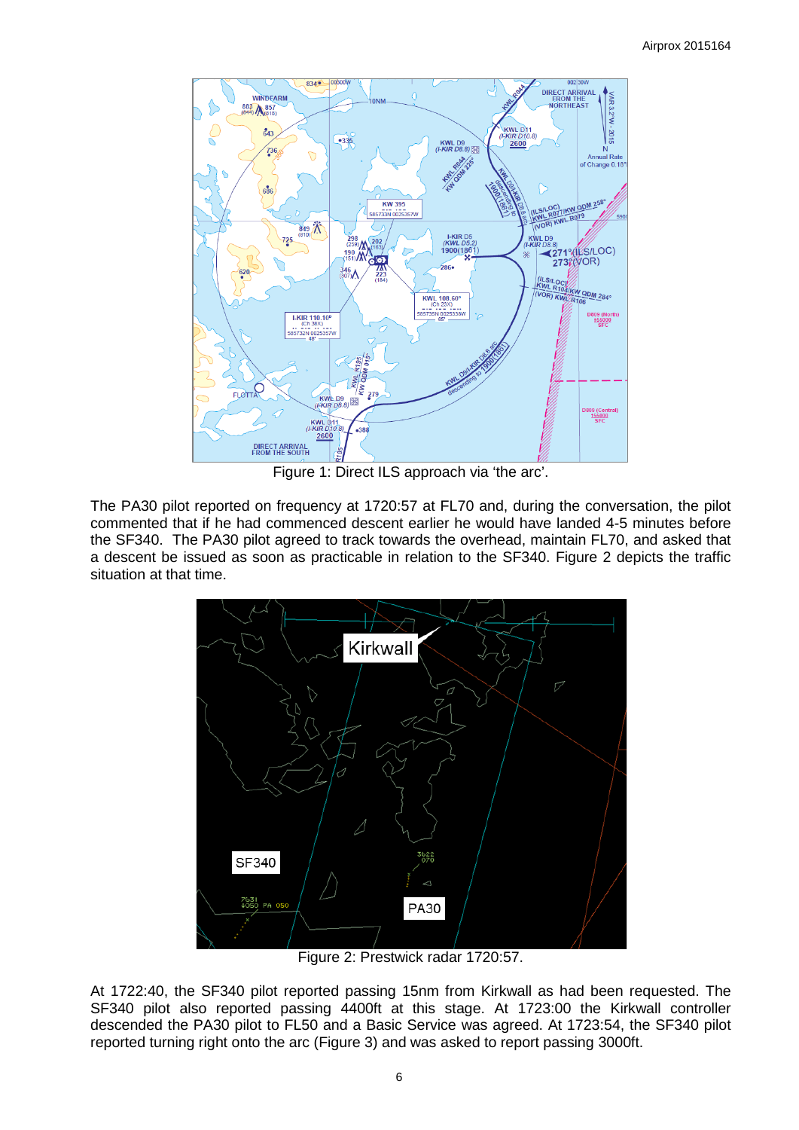

Figure 1: Direct ILS approach via 'the arc'.

The PA30 pilot reported on frequency at 1720:57 at FL70 and, during the conversation, the pilot commented that if he had commenced descent earlier he would have landed 4-5 minutes before the SF340. The PA30 pilot agreed to track towards the overhead, maintain FL70, and asked that a descent be issued as soon as practicable in relation to the SF340. Figure 2 depicts the traffic situation at that time.



Figure 2: Prestwick radar 1720:57.

At 1722:40, the SF340 pilot reported passing 15nm from Kirkwall as had been requested. The SF340 pilot also reported passing 4400ft at this stage. At 1723:00 the Kirkwall controller descended the PA30 pilot to FL50 and a Basic Service was agreed. At 1723:54, the SF340 pilot reported turning right onto the arc (Figure 3) and was asked to report passing 3000ft.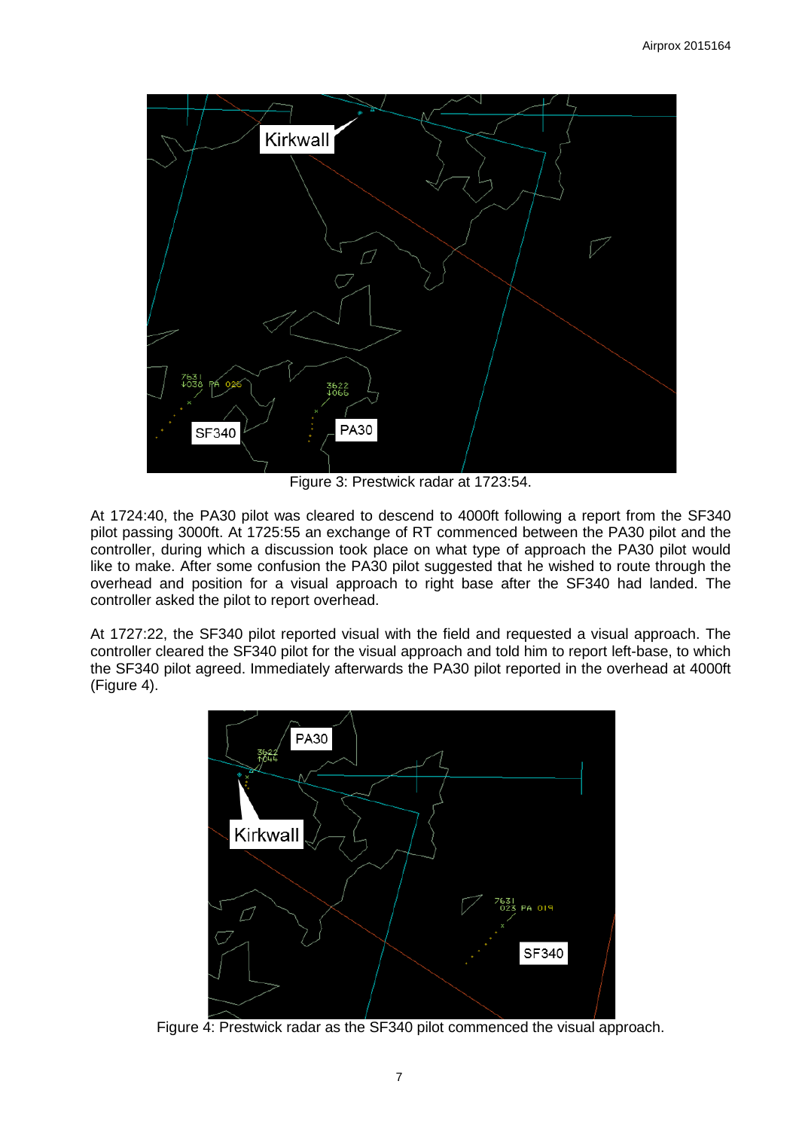

Figure 3: Prestwick radar at 1723:54.

At 1724:40, the PA30 pilot was cleared to descend to 4000ft following a report from the SF340 pilot passing 3000ft. At 1725:55 an exchange of RT commenced between the PA30 pilot and the controller, during which a discussion took place on what type of approach the PA30 pilot would like to make. After some confusion the PA30 pilot suggested that he wished to route through the overhead and position for a visual approach to right base after the SF340 had landed. The controller asked the pilot to report overhead.

At 1727:22, the SF340 pilot reported visual with the field and requested a visual approach. The controller cleared the SF340 pilot for the visual approach and told him to report left-base, to which the SF340 pilot agreed. Immediately afterwards the PA30 pilot reported in the overhead at 4000ft (Figure 4).



Figure 4: Prestwick radar as the SF340 pilot commenced the visual approach.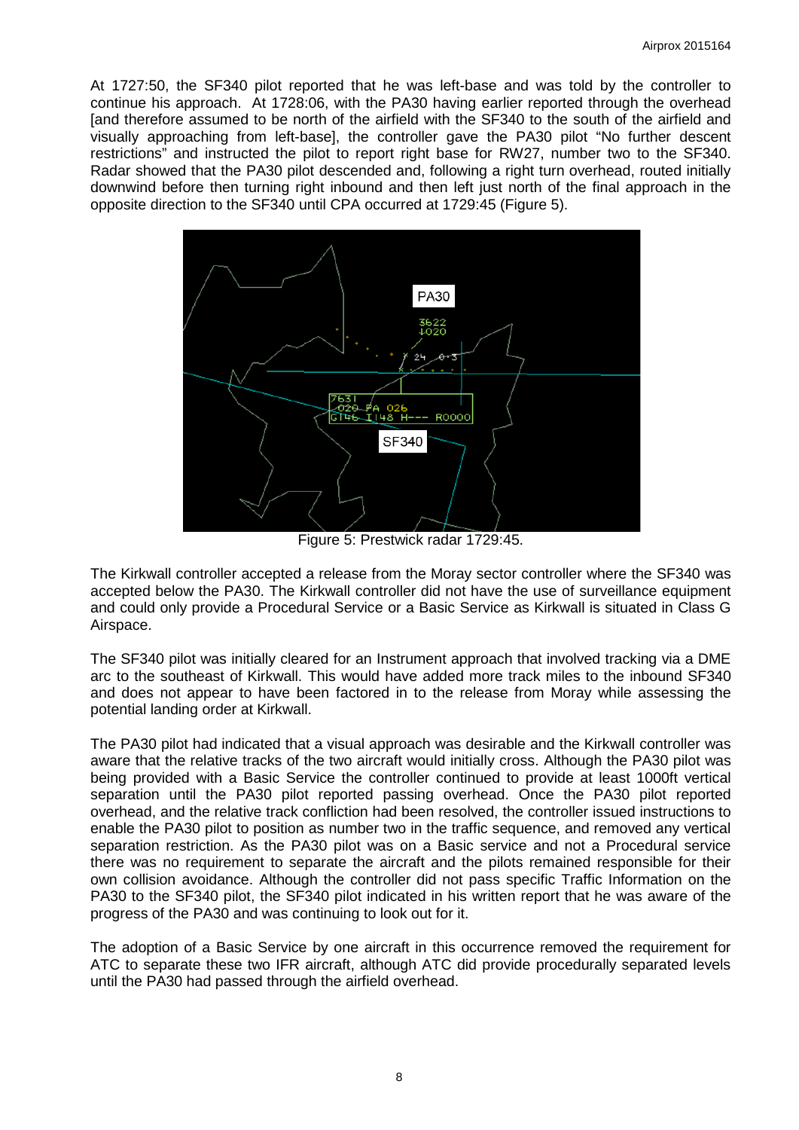At 1727:50, the SF340 pilot reported that he was left-base and was told by the controller to continue his approach. At 1728:06, with the PA30 having earlier reported through the overhead [and therefore assumed to be north of the airfield with the SF340 to the south of the airfield and visually approaching from left-base], the controller gave the PA30 pilot "No further descent restrictions" and instructed the pilot to report right base for RW27, number two to the SF340. Radar showed that the PA30 pilot descended and, following a right turn overhead, routed initially downwind before then turning right inbound and then left just north of the final approach in the opposite direction to the SF340 until CPA occurred at 1729:45 (Figure 5).



Figure 5: Prestwick radar 1729:45.

The Kirkwall controller accepted a release from the Moray sector controller where the SF340 was accepted below the PA30. The Kirkwall controller did not have the use of surveillance equipment and could only provide a Procedural Service or a Basic Service as Kirkwall is situated in Class G Airspace.

The SF340 pilot was initially cleared for an Instrument approach that involved tracking via a DME arc to the southeast of Kirkwall. This would have added more track miles to the inbound SF340 and does not appear to have been factored in to the release from Moray while assessing the potential landing order at Kirkwall.

The PA30 pilot had indicated that a visual approach was desirable and the Kirkwall controller was aware that the relative tracks of the two aircraft would initially cross. Although the PA30 pilot was being provided with a Basic Service the controller continued to provide at least 1000ft vertical separation until the PA30 pilot reported passing overhead. Once the PA30 pilot reported overhead, and the relative track confliction had been resolved, the controller issued instructions to enable the PA30 pilot to position as number two in the traffic sequence, and removed any vertical separation restriction. As the PA30 pilot was on a Basic service and not a Procedural service there was no requirement to separate the aircraft and the pilots remained responsible for their own collision avoidance. Although the controller did not pass specific Traffic Information on the PA30 to the SF340 pilot, the SF340 pilot indicated in his written report that he was aware of the progress of the PA30 and was continuing to look out for it.

The adoption of a Basic Service by one aircraft in this occurrence removed the requirement for ATC to separate these two IFR aircraft, although ATC did provide procedurally separated levels until the PA30 had passed through the airfield overhead.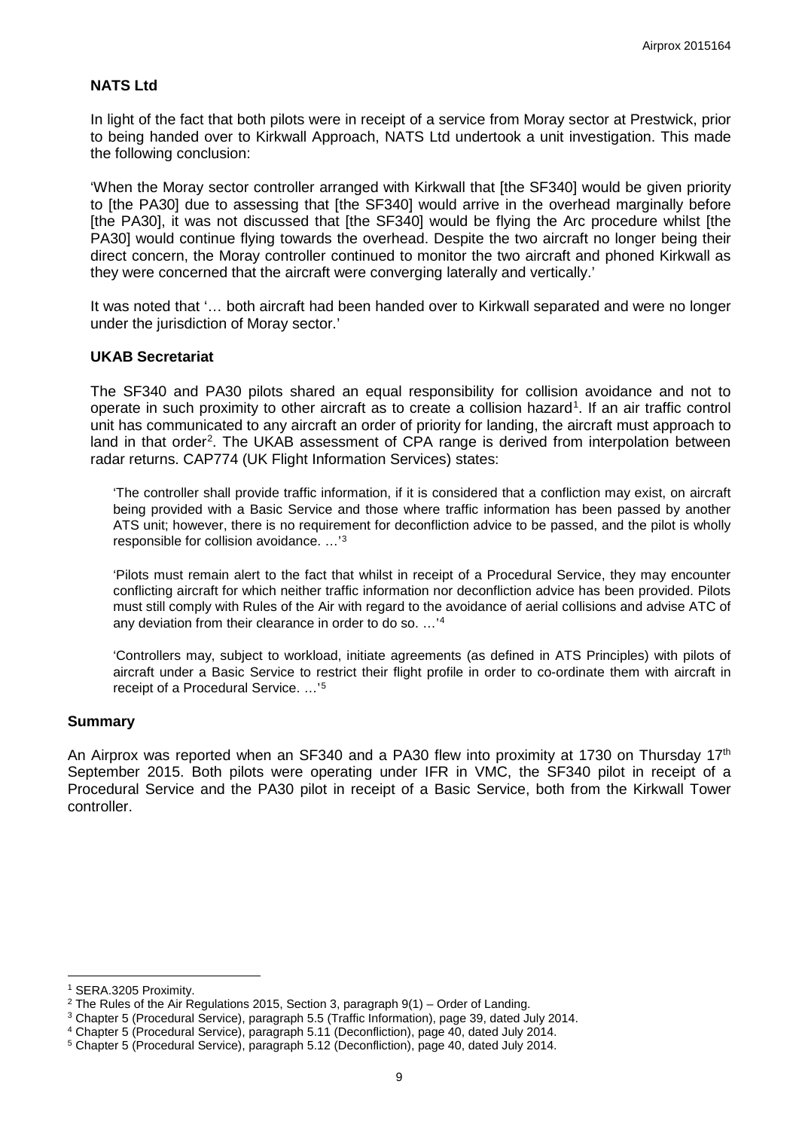### **NATS Ltd**

In light of the fact that both pilots were in receipt of a service from Moray sector at Prestwick, prior to being handed over to Kirkwall Approach, NATS Ltd undertook a unit investigation. This made the following conclusion:

'When the Moray sector controller arranged with Kirkwall that [the SF340] would be given priority to [the PA30] due to assessing that [the SF340] would arrive in the overhead marginally before [the PA30], it was not discussed that [the SF340] would be flying the Arc procedure whilst [the PA30] would continue flying towards the overhead. Despite the two aircraft no longer being their direct concern, the Moray controller continued to monitor the two aircraft and phoned Kirkwall as they were concerned that the aircraft were converging laterally and vertically.'

It was noted that '… both aircraft had been handed over to Kirkwall separated and were no longer under the jurisdiction of Moray sector.'

#### **UKAB Secretariat**

The SF340 and PA30 pilots shared an equal responsibility for collision avoidance and not to operate in such proximity to other aircraft as to create a collision hazard<sup>[1](#page-8-0)</sup>. If an air traffic control unit has communicated to any aircraft an order of priority for landing, the aircraft must approach to land in that order<sup>[2](#page-8-1)</sup>. The UKAB assessment of CPA range is derived from interpolation between radar returns. CAP774 (UK Flight Information Services) states:

'The controller shall provide traffic information, if it is considered that a confliction may exist, on aircraft being provided with a Basic Service and those where traffic information has been passed by another ATS unit; however, there is no requirement for deconfliction advice to be passed, and the pilot is wholly responsible for collision avoidance. …' [3](#page-8-2)

'Pilots must remain alert to the fact that whilst in receipt of a Procedural Service, they may encounter conflicting aircraft for which neither traffic information nor deconfliction advice has been provided. Pilots must still comply with Rules of the Air with regard to the avoidance of aerial collisions and advise ATC of any deviation from their clearance in order to do so. …'[4](#page-8-3)

'Controllers may, subject to workload, initiate agreements (as defined in ATS Principles) with pilots of aircraft under a Basic Service to restrict their flight profile in order to co-ordinate them with aircraft in receipt of a Procedural Service. …' [5](#page-8-4)

#### **Summary**

An Airprox was reported when an SF340 and a PA30 flew into proximity at 1730 on Thursday 17<sup>th</sup> September 2015. Both pilots were operating under IFR in VMC, the SF340 pilot in receipt of a Procedural Service and the PA30 pilot in receipt of a Basic Service, both from the Kirkwall Tower controller.

l

<span id="page-8-0"></span><sup>1</sup> SERA.3205 Proximity.

<span id="page-8-1"></span><sup>&</sup>lt;sup>2</sup> The Rules of the Air Regulations 2015, Section 3, paragraph  $9(1)$  – Order of Landing.

<span id="page-8-2"></span><sup>3</sup> Chapter 5 (Procedural Service), paragraph 5.5 (Traffic Information), page 39, dated July 2014.

<span id="page-8-3"></span><sup>4</sup> Chapter 5 (Procedural Service), paragraph 5.11 (Deconfliction), page 40, dated July 2014.

<span id="page-8-4"></span><sup>5</sup> Chapter 5 (Procedural Service), paragraph 5.12 (Deconfliction), page 40, dated July 2014.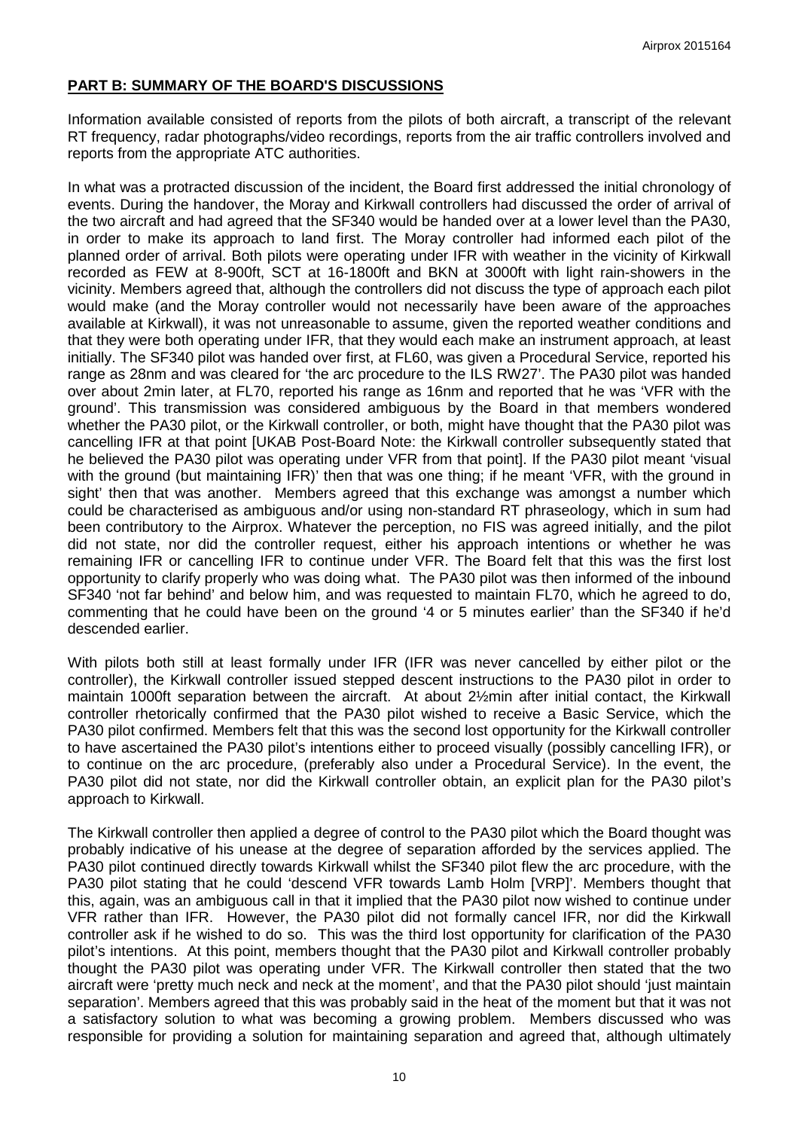## **PART B: SUMMARY OF THE BOARD'S DISCUSSIONS**

Information available consisted of reports from the pilots of both aircraft, a transcript of the relevant RT frequency, radar photographs/video recordings, reports from the air traffic controllers involved and reports from the appropriate ATC authorities.

In what was a protracted discussion of the incident, the Board first addressed the initial chronology of events. During the handover, the Moray and Kirkwall controllers had discussed the order of arrival of the two aircraft and had agreed that the SF340 would be handed over at a lower level than the PA30, in order to make its approach to land first. The Moray controller had informed each pilot of the planned order of arrival. Both pilots were operating under IFR with weather in the vicinity of Kirkwall recorded as FEW at 8-900ft, SCT at 16-1800ft and BKN at 3000ft with light rain-showers in the vicinity. Members agreed that, although the controllers did not discuss the type of approach each pilot would make (and the Moray controller would not necessarily have been aware of the approaches available at Kirkwall), it was not unreasonable to assume, given the reported weather conditions and that they were both operating under IFR, that they would each make an instrument approach, at least initially. The SF340 pilot was handed over first, at FL60, was given a Procedural Service, reported his range as 28nm and was cleared for 'the arc procedure to the ILS RW27'. The PA30 pilot was handed over about 2min later, at FL70, reported his range as 16nm and reported that he was 'VFR with the ground'. This transmission was considered ambiguous by the Board in that members wondered whether the PA30 pilot, or the Kirkwall controller, or both, might have thought that the PA30 pilot was cancelling IFR at that point [UKAB Post-Board Note: the Kirkwall controller subsequently stated that he believed the PA30 pilot was operating under VFR from that point]. If the PA30 pilot meant 'visual with the ground (but maintaining IFR)' then that was one thing; if he meant 'VFR, with the ground in sight' then that was another. Members agreed that this exchange was amongst a number which could be characterised as ambiguous and/or using non-standard RT phraseology, which in sum had been contributory to the Airprox. Whatever the perception, no FIS was agreed initially, and the pilot did not state, nor did the controller request, either his approach intentions or whether he was remaining IFR or cancelling IFR to continue under VFR. The Board felt that this was the first lost opportunity to clarify properly who was doing what. The PA30 pilot was then informed of the inbound SF340 'not far behind' and below him, and was requested to maintain FL70, which he agreed to do, commenting that he could have been on the ground '4 or 5 minutes earlier' than the SF340 if he'd descended earlier.

With pilots both still at least formally under IFR (IFR was never cancelled by either pilot or the controller), the Kirkwall controller issued stepped descent instructions to the PA30 pilot in order to maintain 1000ft separation between the aircraft. At about 2½min after initial contact, the Kirkwall controller rhetorically confirmed that the PA30 pilot wished to receive a Basic Service, which the PA30 pilot confirmed. Members felt that this was the second lost opportunity for the Kirkwall controller to have ascertained the PA30 pilot's intentions either to proceed visually (possibly cancelling IFR), or to continue on the arc procedure, (preferably also under a Procedural Service). In the event, the PA30 pilot did not state, nor did the Kirkwall controller obtain, an explicit plan for the PA30 pilot's approach to Kirkwall.

The Kirkwall controller then applied a degree of control to the PA30 pilot which the Board thought was probably indicative of his unease at the degree of separation afforded by the services applied. The PA30 pilot continued directly towards Kirkwall whilst the SF340 pilot flew the arc procedure, with the PA30 pilot stating that he could 'descend VFR towards Lamb Holm [VRP]'. Members thought that this, again, was an ambiguous call in that it implied that the PA30 pilot now wished to continue under VFR rather than IFR. However, the PA30 pilot did not formally cancel IFR, nor did the Kirkwall controller ask if he wished to do so. This was the third lost opportunity for clarification of the PA30 pilot's intentions. At this point, members thought that the PA30 pilot and Kirkwall controller probably thought the PA30 pilot was operating under VFR. The Kirkwall controller then stated that the two aircraft were 'pretty much neck and neck at the moment', and that the PA30 pilot should 'just maintain separation'. Members agreed that this was probably said in the heat of the moment but that it was not a satisfactory solution to what was becoming a growing problem. Members discussed who was responsible for providing a solution for maintaining separation and agreed that, although ultimately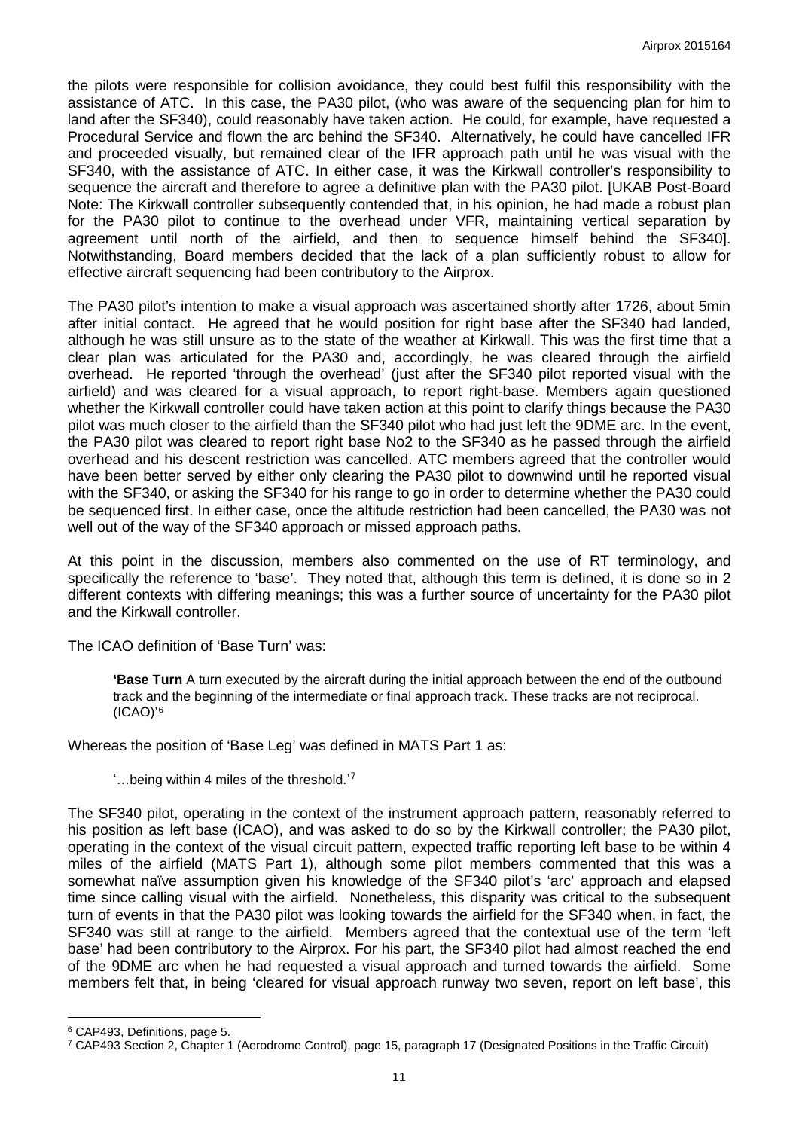the pilots were responsible for collision avoidance, they could best fulfil this responsibility with the assistance of ATC. In this case, the PA30 pilot, (who was aware of the sequencing plan for him to land after the SF340), could reasonably have taken action. He could, for example, have requested a Procedural Service and flown the arc behind the SF340. Alternatively, he could have cancelled IFR and proceeded visually, but remained clear of the IFR approach path until he was visual with the SF340, with the assistance of ATC. In either case, it was the Kirkwall controller's responsibility to sequence the aircraft and therefore to agree a definitive plan with the PA30 pilot. [UKAB Post-Board Note: The Kirkwall controller subsequently contended that, in his opinion, he had made a robust plan for the PA30 pilot to continue to the overhead under VFR, maintaining vertical separation by agreement until north of the airfield, and then to sequence himself behind the SF340]. Notwithstanding, Board members decided that the lack of a plan sufficiently robust to allow for effective aircraft sequencing had been contributory to the Airprox.

The PA30 pilot's intention to make a visual approach was ascertained shortly after 1726, about 5min after initial contact. He agreed that he would position for right base after the SF340 had landed, although he was still unsure as to the state of the weather at Kirkwall. This was the first time that a clear plan was articulated for the PA30 and, accordingly, he was cleared through the airfield overhead. He reported 'through the overhead' (just after the SF340 pilot reported visual with the airfield) and was cleared for a visual approach, to report right-base. Members again questioned whether the Kirkwall controller could have taken action at this point to clarify things because the PA30 pilot was much closer to the airfield than the SF340 pilot who had just left the 9DME arc. In the event, the PA30 pilot was cleared to report right base No2 to the SF340 as he passed through the airfield overhead and his descent restriction was cancelled. ATC members agreed that the controller would have been better served by either only clearing the PA30 pilot to downwind until he reported visual with the SF340, or asking the SF340 for his range to go in order to determine whether the PA30 could be sequenced first. In either case, once the altitude restriction had been cancelled, the PA30 was not well out of the way of the SF340 approach or missed approach paths.

At this point in the discussion, members also commented on the use of RT terminology, and specifically the reference to 'base'. They noted that, although this term is defined, it is done so in 2 different contexts with differing meanings; this was a further source of uncertainty for the PA30 pilot and the Kirkwall controller.

The ICAO definition of 'Base Turn' was:

**'Base Turn** A turn executed by the aircraft during the initial approach between the end of the outbound track and the beginning of the intermediate or final approach track. These tracks are not reciprocal. (ICAO)' [6](#page-10-0)

Whereas the position of 'Base Leg' was defined in MATS Part 1 as:

'…being within 4 miles of the threshold.' [7](#page-10-1)

The SF340 pilot, operating in the context of the instrument approach pattern, reasonably referred to his position as left base (ICAO), and was asked to do so by the Kirkwall controller; the PA30 pilot, operating in the context of the visual circuit pattern, expected traffic reporting left base to be within 4 miles of the airfield (MATS Part 1), although some pilot members commented that this was a somewhat naïve assumption given his knowledge of the SF340 pilot's 'arc' approach and elapsed time since calling visual with the airfield. Nonetheless, this disparity was critical to the subsequent turn of events in that the PA30 pilot was looking towards the airfield for the SF340 when, in fact, the SF340 was still at range to the airfield. Members agreed that the contextual use of the term 'left base' had been contributory to the Airprox. For his part, the SF340 pilot had almost reached the end of the 9DME arc when he had requested a visual approach and turned towards the airfield. Some members felt that, in being 'cleared for visual approach runway two seven, report on left base', this

l

<span id="page-10-0"></span><sup>6</sup> CAP493, Definitions, page 5.

<span id="page-10-1"></span><sup>7</sup> CAP493 Section 2, Chapter 1 (Aerodrome Control), page 15, paragraph 17 (Designated Positions in the Traffic Circuit)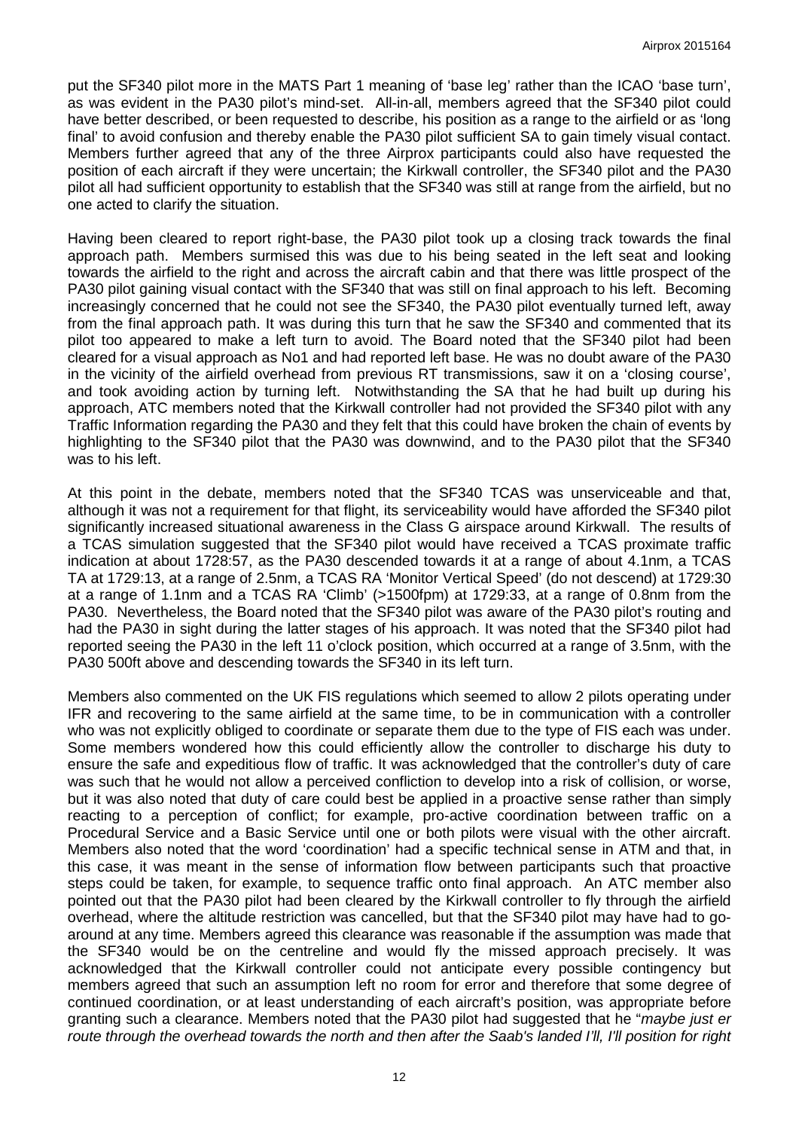put the SF340 pilot more in the MATS Part 1 meaning of 'base leg' rather than the ICAO 'base turn', as was evident in the PA30 pilot's mind-set. All-in-all, members agreed that the SF340 pilot could have better described, or been requested to describe, his position as a range to the airfield or as 'long final' to avoid confusion and thereby enable the PA30 pilot sufficient SA to gain timely visual contact. Members further agreed that any of the three Airprox participants could also have requested the position of each aircraft if they were uncertain; the Kirkwall controller, the SF340 pilot and the PA30 pilot all had sufficient opportunity to establish that the SF340 was still at range from the airfield, but no one acted to clarify the situation.

Having been cleared to report right-base, the PA30 pilot took up a closing track towards the final approach path. Members surmised this was due to his being seated in the left seat and looking towards the airfield to the right and across the aircraft cabin and that there was little prospect of the PA30 pilot gaining visual contact with the SF340 that was still on final approach to his left. Becoming increasingly concerned that he could not see the SF340, the PA30 pilot eventually turned left, away from the final approach path. It was during this turn that he saw the SF340 and commented that its pilot too appeared to make a left turn to avoid. The Board noted that the SF340 pilot had been cleared for a visual approach as No1 and had reported left base. He was no doubt aware of the PA30 in the vicinity of the airfield overhead from previous RT transmissions, saw it on a 'closing course', and took avoiding action by turning left. Notwithstanding the SA that he had built up during his approach, ATC members noted that the Kirkwall controller had not provided the SF340 pilot with any Traffic Information regarding the PA30 and they felt that this could have broken the chain of events by highlighting to the SF340 pilot that the PA30 was downwind, and to the PA30 pilot that the SF340 was to his left.

At this point in the debate, members noted that the SF340 TCAS was unserviceable and that, although it was not a requirement for that flight, its serviceability would have afforded the SF340 pilot significantly increased situational awareness in the Class G airspace around Kirkwall. The results of a TCAS simulation suggested that the SF340 pilot would have received a TCAS proximate traffic indication at about 1728:57, as the PA30 descended towards it at a range of about 4.1nm, a TCAS TA at 1729:13, at a range of 2.5nm, a TCAS RA 'Monitor Vertical Speed' (do not descend) at 1729:30 at a range of 1.1nm and a TCAS RA 'Climb' (>1500fpm) at 1729:33, at a range of 0.8nm from the PA30. Nevertheless, the Board noted that the SF340 pilot was aware of the PA30 pilot's routing and had the PA30 in sight during the latter stages of his approach. It was noted that the SF340 pilot had reported seeing the PA30 in the left 11 o'clock position, which occurred at a range of 3.5nm, with the PA30 500ft above and descending towards the SF340 in its left turn.

Members also commented on the UK FIS regulations which seemed to allow 2 pilots operating under IFR and recovering to the same airfield at the same time, to be in communication with a controller who was not explicitly obliged to coordinate or separate them due to the type of FIS each was under. Some members wondered how this could efficiently allow the controller to discharge his duty to ensure the safe and expeditious flow of traffic. It was acknowledged that the controller's duty of care was such that he would not allow a perceived confliction to develop into a risk of collision, or worse, but it was also noted that duty of care could best be applied in a proactive sense rather than simply reacting to a perception of conflict; for example, pro-active coordination between traffic on a Procedural Service and a Basic Service until one or both pilots were visual with the other aircraft. Members also noted that the word 'coordination' had a specific technical sense in ATM and that, in this case, it was meant in the sense of information flow between participants such that proactive steps could be taken, for example, to sequence traffic onto final approach. An ATC member also pointed out that the PA30 pilot had been cleared by the Kirkwall controller to fly through the airfield overhead, where the altitude restriction was cancelled, but that the SF340 pilot may have had to goaround at any time. Members agreed this clearance was reasonable if the assumption was made that the SF340 would be on the centreline and would fly the missed approach precisely. It was acknowledged that the Kirkwall controller could not anticipate every possible contingency but members agreed that such an assumption left no room for error and therefore that some degree of continued coordination, or at least understanding of each aircraft's position, was appropriate before granting such a clearance. Members noted that the PA30 pilot had suggested that he "*maybe just er route through the overhead towards the north and then after the Saab's landed I'll, I'll position for right*